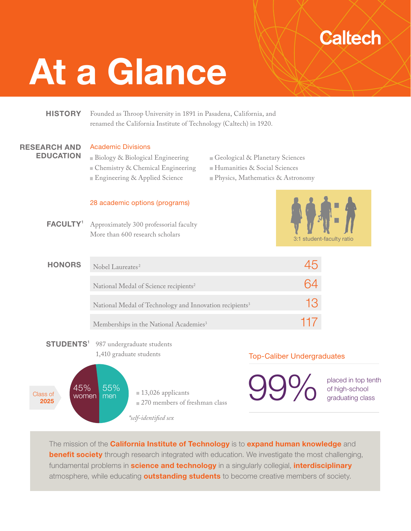# **Caltech**

# At a Glance

# **HISTORY**

Founded as Throop University in 1891 in Pasadena, California, and renamed the California Institute of Technology (Caltech) in 1920.

#### RESEARCH AND EDUCATION

#### Academic Divisions

- Biology & Biological Engineering Chemistry & Chemical Engineering Engineering & Applied Science
- Geological & Planetary Sciences
- Humanities & Social Sciences
- Physics, Mathematics & Astronomy

#### 28 academic options (programs)

Approximately 300 professorial faculty More than 600 research scholars FACULTY<sup>1</sup>



| <b>HONORS</b> | Nobel Laureates <sup>2</sup>                                        |     |
|---------------|---------------------------------------------------------------------|-----|
|               | National Medal of Science recipients <sup>2</sup>                   |     |
|               | National Medal of Technology and Innovation recipients <sup>3</sup> | 13  |
|               | Memberships in the National Academies <sup>3</sup>                  | 117 |

STUDENTS<sup>1</sup> 987 undergraduate students 1,410 graduate students



# Top-Caliber Undergraduates

**99%** placed in top tenth of high-school

of high-school graduating class

The mission of the **California Institute of Technology** is to **expand human knowledge** and **benefit society** through research integrated with education. We investigate the most challenging, fundamental problems in **science and technology** in a singularly collegial, *interdisciplinary* atmosphere, while educating **outstanding students** to become creative members of society.